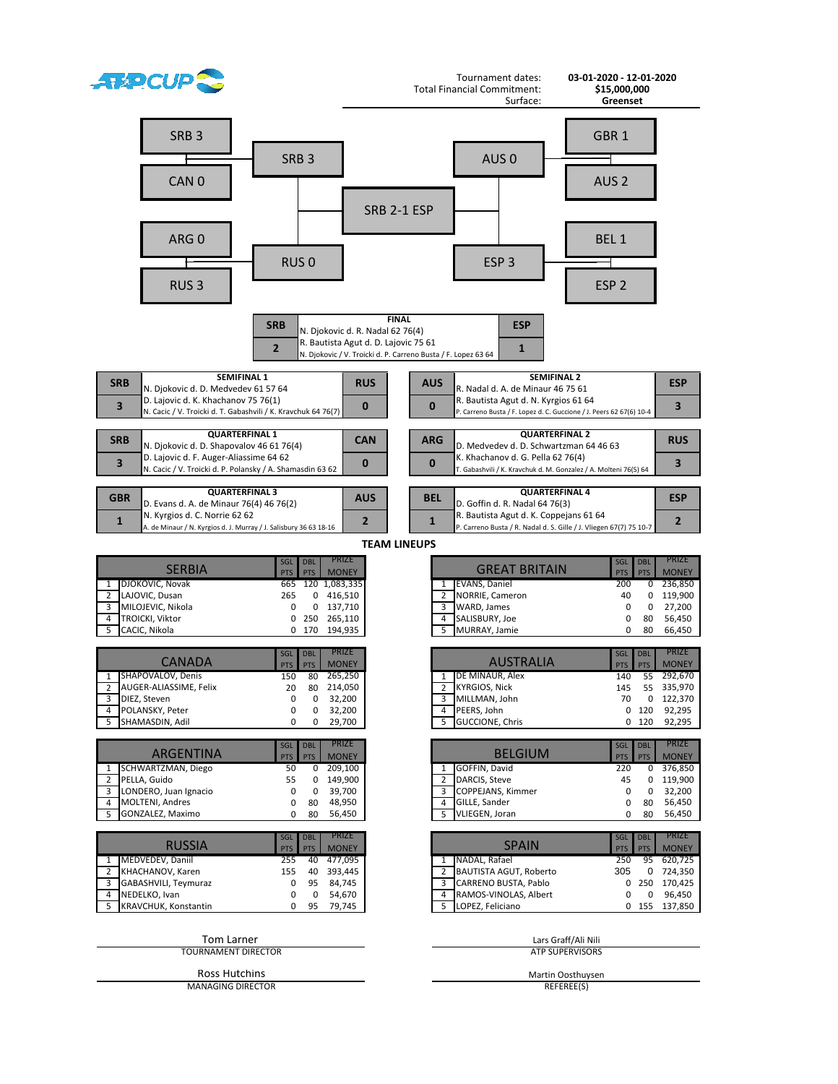| <b>ATAPCUP</b>                                                                                                                                                                                       |                                                                                                                                                                                          | Tournament dates:<br><b>Total Financial Commitment:</b>                                                                                                                                               | 03-01-2020 - 12-01-2020<br>\$15,000,000                                                                                                                                                  |
|------------------------------------------------------------------------------------------------------------------------------------------------------------------------------------------------------|------------------------------------------------------------------------------------------------------------------------------------------------------------------------------------------|-------------------------------------------------------------------------------------------------------------------------------------------------------------------------------------------------------|------------------------------------------------------------------------------------------------------------------------------------------------------------------------------------------|
| SRB <sub>3</sub><br>CAN <sub>0</sub><br>ARG 0<br>RUS <sub>3</sub>                                                                                                                                    | SRB <sub>3</sub><br>SRB 2-1 ESP<br>RUS <sub>0</sub><br><b>FINAL</b><br><b>SRB</b><br>N. Djokovic d. R. Nadal 62 76(4)<br>R. Bautista Agut d. D. Lajovic 75 61<br>$\overline{2}$          | Surface:<br>AUS <sub>0</sub><br>ESP <sub>3</sub><br><b>ESP</b><br>$\mathbf{1}$                                                                                                                        | Greenset<br>GBR <sub>1</sub><br>AUS <sub>2</sub><br>BEL <sub>1</sub><br>ESP <sub>2</sub>                                                                                                 |
|                                                                                                                                                                                                      | N. Djokovic / V. Troicki d. P. Carreno Busta / F. Lopez 63 64                                                                                                                            |                                                                                                                                                                                                       |                                                                                                                                                                                          |
| <b>SEMIFINAL 1</b><br><b>SRB</b><br>N. Djokovic d. D. Medvedev 61 57 64<br>D. Lajovic d. K. Khachanov 75 76(1)                                                                                       | <b>RUS</b>                                                                                                                                                                               | <b>SEMIFINAL 2</b><br><b>AUS</b><br>R. Nadal d. A. de Minaur 46 75 61<br>R. Bautista Agut d. N. Kyrgios 61 64                                                                                         | <b>ESP</b>                                                                                                                                                                               |
| $\overline{\mathbf{3}}$<br>N. Cacic / V. Troicki d. T. Gabashvili / K. Kravchuk 64 76(7)                                                                                                             | $\bf{0}$                                                                                                                                                                                 | $\bf{0}$<br>P. Carreno Busta / F. Lopez d. C. Guccione / J. Peers 62 67(6) 10-4                                                                                                                       | 3                                                                                                                                                                                        |
| <b>QUARTERFINAL 1</b><br><b>SRB</b><br>N. Djokovic d. D. Shapovalov 46 61 76(4)                                                                                                                      | <b>CAN</b>                                                                                                                                                                               | <b>QUARTERFINAL 2</b><br><b>ARG</b><br>D. Medvedev d. D. Schwartzman 64 46 63                                                                                                                         | <b>RUS</b>                                                                                                                                                                               |
| D. Lajovic d. F. Auger-Aliassime 64 62<br>3<br>N. Cacic / V. Troicki d. P. Polansky / A. Shamasdin 63 62                                                                                             | $\bf{0}$                                                                                                                                                                                 | K. Khachanov d. G. Pella 62 76(4)<br>$\bf{0}$<br>T. Gabashvili / K. Kravchuk d. M. Gonzalez / A. Molteni 76(5) 64                                                                                     | 3                                                                                                                                                                                        |
| <b>QUARTERFINAL 3</b><br><b>GBR</b><br>D. Evans d. A. de Minaur 76(4) 46 76(2)<br>N. Kyrgios d. C. Norrie 62 62<br>$\mathbf{1}$<br>A. de Minaur / N. Kyrgios d. J. Murray / J. Salisbury 36 63 18-16 | <b>AUS</b><br>$\overline{2}$                                                                                                                                                             | <b>QUARTERFINAL 4</b><br><b>BEL</b><br>D. Goffin d. R. Nadal 64 76(3)<br>R. Bautista Agut d. K. Coppejans 61 64<br>$\mathbf{1}$<br>P. Carreno Busta / R. Nadal d. S. Gille / J. Vliegen 67(7) 75 10-7 | <b>ESP</b><br>$\overline{2}$                                                                                                                                                             |
|                                                                                                                                                                                                      |                                                                                                                                                                                          | <b>TEAM LINEUPS</b>                                                                                                                                                                                   |                                                                                                                                                                                          |
| <b>SERBIA</b><br>DJOKOVIC, Novak<br>1<br>LAJOVIC, Dusan<br>2<br>MILOJEVIC, Nikola<br>3                                                                                                               | PRIZE<br><b>DBL</b><br>SGL<br>PTS<br><b>MONEY</b><br><b>PTS</b><br>120 1,083,335<br>665<br>416,510<br>265<br>0<br>0 137,710<br>0                                                         | <b>GREAT BRITAIN</b><br>EVANS, Daniel<br>1<br>NORRIE, Cameron<br>2<br>3<br>WARD, James                                                                                                                | <b>PRIZE</b><br><b>DBL</b><br>SGL<br><b>MONEY</b><br><b>PTS</b><br><b>PTS</b><br>236,850<br>200<br>0<br>119,900<br>40<br>0<br>27,200<br>0<br>0                                           |
| TROICKI, Viktor<br>4<br>5<br>CACIC, Nikola                                                                                                                                                           | 265,110<br>0<br>250<br>170<br>194,935<br>0                                                                                                                                               | SALISBURY, Joe<br>4<br>5<br>MURRAY, Jamie                                                                                                                                                             | 56,450<br>0<br>80<br>0<br>80<br>66,450                                                                                                                                                   |
| <b>CANADA</b><br>SHAPOVALOV, Denis<br>1<br>AUGER-ALIASSIME, Felix<br>3<br>DIEZ, Steven<br>POLANSKY, Peter<br>4<br>5<br>SHAMASDIN, Adil                                                               | <b>PRIZE</b><br><b>DBL</b><br>SGL<br><b>PTS</b><br><b>PTS</b><br><b>MONEY</b><br>265,250<br>80<br>150<br>20<br>80<br>214,050<br>32,200<br>0<br>0<br>32,200<br>0<br>0<br>29,700<br>0<br>0 | <b>AUSTRALIA</b><br>DE MINAUR, Alex<br>1<br>KYRGIOS, Nick<br>MILLMAN, John<br>3<br>PEERS, John<br>4<br>5<br><b>GUCCIONE, Chris</b>                                                                    | <b>PRIZE</b><br><b>DBL</b><br>SGL<br><b>PTS</b><br><b>PTS</b><br><b>MONEY</b><br>292,670<br>55<br>140<br>145<br>55<br>335,970<br>0 122,370<br>70<br>$0$ 120<br>92,295<br>92,295<br>0 120 |
|                                                                                                                                                                                                      | <b>PRIZE</b><br><b>DBL</b><br><b>SGL</b>                                                                                                                                                 |                                                                                                                                                                                                       | <b>PRIZE</b><br><b>DBL</b><br>SGL                                                                                                                                                        |
| <b>ARGENTINA</b><br>SCHWARTZMAN, Diego<br>$\mathbf{1}$                                                                                                                                               | <b>MONEY</b><br><b>PTS</b><br><b>PTS</b><br>209,100<br>50<br>0                                                                                                                           | <b>BELGIUM</b><br>GOFFIN, David<br>1                                                                                                                                                                  | <b>MONEY</b><br><b>PTS</b><br><b>PTS</b><br>376,850<br>220<br>0                                                                                                                          |
| $\overline{2}$<br>PELLA, Guido<br>LONDERO, Juan Ignacio<br>3                                                                                                                                         | 55<br>0<br>149,900<br>0<br>39,700<br>0                                                                                                                                                   | DARCIS, Steve<br>$\overline{2}$<br>COPPEJANS, Kimmer<br>3                                                                                                                                             | 119,900<br>45<br>0<br>32,200<br>0<br>0                                                                                                                                                   |
| <b>MOLTENI, Andres</b><br>4<br>GONZALEZ, Maximo<br>5                                                                                                                                                 | 0<br>80<br>48,950<br>80<br>56,450<br>0                                                                                                                                                   | 4 GILLE, Sander<br>VLIEGEN, Joran<br>5                                                                                                                                                                | 56,450<br>0<br>80<br>56,450<br>80<br>0                                                                                                                                                   |
| <b>RUSSIA</b>                                                                                                                                                                                        | <b>PRIZE</b><br><b>DBL</b><br>SGL<br><b>MONEY</b><br><b>PTS</b><br><b>PTS</b>                                                                                                            | <b>SPAIN</b>                                                                                                                                                                                          | <b>PRIZE</b><br><b>DBL</b><br>SGL<br><b>MONEY</b><br><b>PTS</b><br><b>PTS</b>                                                                                                            |
| MEDVEDEV, Daniil<br>1<br>KHACHANOV, Karen<br>$\overline{2}$                                                                                                                                          | 477,095<br>255<br>40<br>393,445<br>155<br>40                                                                                                                                             | NADAL, Rafael<br>1<br>BAUTISTA AGUT, Roberto<br>$\mathbf{2}$                                                                                                                                          | 95<br>620,725<br>250<br>724,350<br>305<br>0                                                                                                                                              |
| GABASHVILI, Teymuraz<br>3<br>NEDELKO, Ivan<br>4                                                                                                                                                      | 84,745<br>0<br>95<br>0<br>0<br>54,670                                                                                                                                                    | CARRENO BUSTA, Pablo<br>3<br>RAMOS-VINOLAS, Albert<br>4                                                                                                                                               | 250<br>170,425<br>0<br>96,450<br>0<br>0                                                                                                                                                  |
| KRAVCHUK, Konstantin<br>5                                                                                                                                                                            | 95<br>79,745<br>0                                                                                                                                                                        | LOPEZ, Feliciano<br>5                                                                                                                                                                                 | 137,850<br>155<br>0                                                                                                                                                                      |
| <b>Tom Larner</b><br><b>TOURNAMENT DIRECTOR</b>                                                                                                                                                      |                                                                                                                                                                                          |                                                                                                                                                                                                       | Lars Graff/Ali Nili<br><b>ATP SUPERVISORS</b>                                                                                                                                            |
| Ross Hutchins<br><b>MANAGING DIRECTOR</b>                                                                                                                                                            |                                                                                                                                                                                          |                                                                                                                                                                                                       | Martin Oosthuysen<br>REFEREE(S)                                                                                                                                                          |
|                                                                                                                                                                                                      |                                                                                                                                                                                          |                                                                                                                                                                                                       |                                                                                                                                                                                          |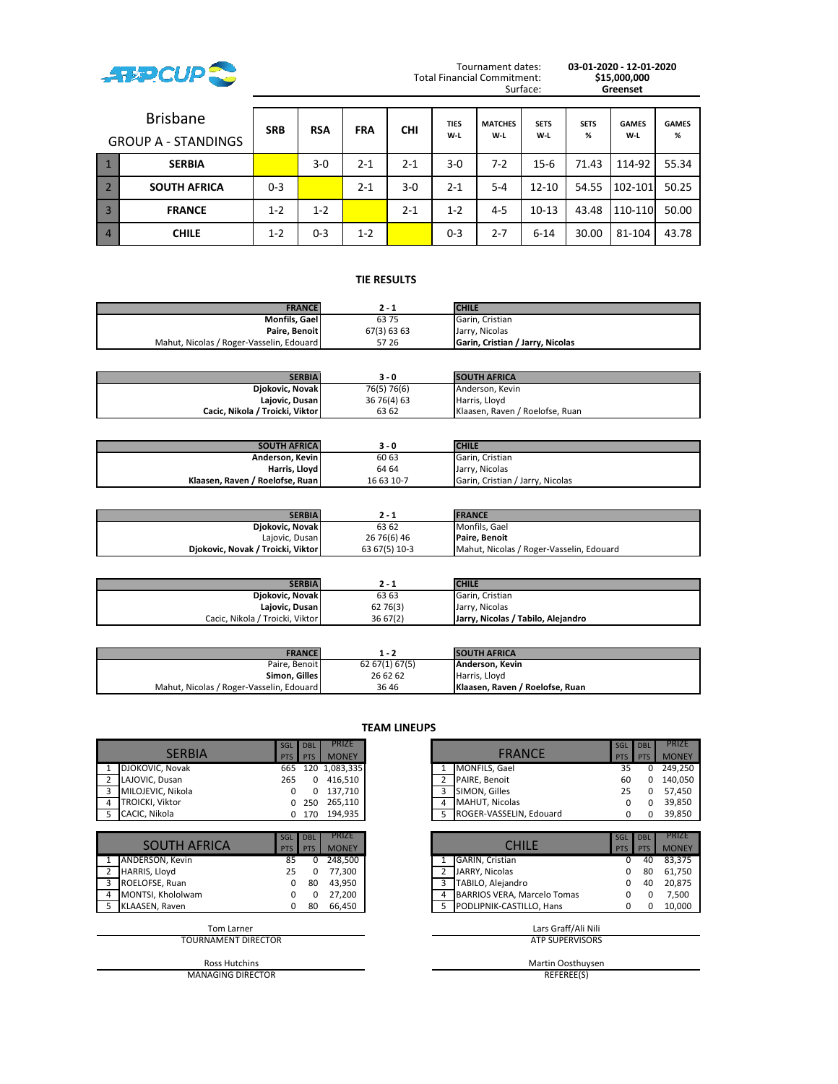

Tournament dates: **03-01-2020 - 12-01-2020** Surface: **Greenset**

|                | <b>Brisbane</b><br><b>GROUP A - STANDINGS</b> | <b>SRB</b> | <b>RSA</b> | <b>FRA</b> | <b>CHI</b> | <b>TIES</b><br>W-L | <b>MATCHES</b><br>W-L | <b>SETS</b><br>W-L | <b>SETS</b><br>℅ | <b>GAMES</b><br>W-L | <b>GAMES</b><br>% |
|----------------|-----------------------------------------------|------------|------------|------------|------------|--------------------|-----------------------|--------------------|------------------|---------------------|-------------------|
|                | <b>SERBIA</b>                                 |            | $3-0$      | $2 - 1$    | $2 - 1$    | $3 - 0$            | $7-2$                 | $15 - 6$           | 71.43            | 114-92              | 55.34             |
|                | <b>SOUTH AFRICA</b>                           | $0 - 3$    |            | $2 - 1$    | $3-0$      | $2 - 1$            | $5 - 4$               | $12 - 10$          | 54.55            | 102-101             | 50.25             |
| $\overline{3}$ | <b>FRANCE</b>                                 | $1 - 2$    | $1 - 2$    |            | $2 - 1$    | $1 - 2$            | $4 - 5$               | $10 - 13$          | 43.48            | 110-110             | 50.00             |
| $\overline{4}$ | <b>CHILE</b>                                  | $1 - 2$    | $0 - 3$    | $1 - 2$    |            | $0 - 3$            | $2 - 7$               | $6 - 14$           | 30.00            | 81-104              | 43.78             |

# **TIE RESULTS .**

| <b>FRANCE</b>                            | 2 - 1       | <b>CHILE</b>                            |
|------------------------------------------|-------------|-----------------------------------------|
| Monfils, Gael                            | 6375        | Garin, Cristian                         |
| Paire, Benoit                            | 67(3) 63 63 | Jarry, Nicolas                          |
| Mahut, Nicolas / Roger-Vasselin, Edouard | 57 26       | <b>Garin, Cristian / Jarry, Nicolas</b> |

| <b>SERBIA</b>                     | 3 - 0        | <b>SOUTH AFRICA</b>             |
|-----------------------------------|--------------|---------------------------------|
| Djokovic, Novak                   | 76(5) 76(6)  | Anderson, Kevin                 |
| Lajovic, Dusan                    | 36 76 (4) 63 | Harris, Llovd                   |
| Cacic. Nikola / Troicki. Viktor I | 63 62        | Klaasen, Raven / Roelofse, Ruan |

| <b>SOUTH AFRICAL</b>              | 3 - 0      | <b>CHILE</b>                     |
|-----------------------------------|------------|----------------------------------|
| Anderson, Kevin                   | 60 63      | Garin, Cristian                  |
| Harris, Lloyd                     | 64 64      | Jarry, Nicolas                   |
| Klaasen. Raven / Roelofse. Ruan I | 16 63 10-7 | Garin, Cristian / Jarry, Nicolas |

| <b>SERBIA</b>                     |               | <b>FRANCE</b>                            |
|-----------------------------------|---------------|------------------------------------------|
| Djokovic, Novak                   | 63 62         | Monfils, Gael                            |
| Lajovic, Dusan                    | 26 76(6) 46   | Paire. Benoit                            |
| Diokovic, Novak / Troicki, Viktor | 63 67(5) 10-3 | Mahut, Nicolas / Roger-Vasselin, Edouard |

| SERBIAI                         | 2 - 1    | <b>CHILE</b>                       |
|---------------------------------|----------|------------------------------------|
| Djokovic, Novak                 | 63 63    | Garin, Cristian                    |
| Lajovic, Dusan                  | 62 76(3) | Jarry, Nicolas                     |
| Cacic, Nikola / Troicki, Viktor | 36 67(2) | Jarry, Nicolas / Tabilo, Alejandro |

| <b>FRANCE</b>                            | 1 - 2          | <b>SOUTH AFRICA</b>             |
|------------------------------------------|----------------|---------------------------------|
| Paire. Benoit                            | 62 67(1) 67(5) | Anderson, Kevin                 |
| Simon, Gilles                            | 26 62 62       | Harris, Llovd                   |
| Mahut, Nicolas / Roger-Vasselin, Edouard | 3646           | Klaasen. Raven / Roelofse. Ruan |

| <b>SERBIA</b>              | <b>SGL</b><br>PTS | <b>DBL</b><br><b>PTS</b> | PRIZE<br><b>MONEY</b>        | <b>FRANCE</b>                    | SGL<br><b>PTS</b> | <b>DBL</b><br><b>PTS</b> |
|----------------------------|-------------------|--------------------------|------------------------------|----------------------------------|-------------------|--------------------------|
| DJOKOVIC, Novak            | 665               |                          | 120 1,083,335                | <b>MONFILS, Gael</b><br>1        | 35                |                          |
| LAJOVIC, Dusan             | 265               | 0                        | 416,510                      | PAIRE, Benoit<br>2               | 60                |                          |
| MILOJEVIC, Nikola<br>3     | $\Omega$          | 0                        | 137,710                      | SIMON, Gilles<br>3               | 25                |                          |
| TROICKI, Viktor            | 0                 | 250                      | 265,110                      | MAHUT, Nicolas<br>4              | <sup>0</sup>      |                          |
| CACIC, Nikola              | 0                 | 170                      | 194,935                      | ROGER-VASSELIN, Edouard<br>5     |                   |                          |
|                            |                   |                          |                              |                                  |                   |                          |
| <b>SOUTH AFRICA</b>        | SGL<br><b>PTS</b> | <b>DBL</b><br><b>PTS</b> | <b>PRIZE</b><br><b>MONEY</b> | <b>CHILE</b>                     | SGL<br>PTS        | <b>DBL</b><br><b>PTS</b> |
| ANDERSON, Kevin            | 85                | 0                        | 248,500                      | GARIN, Cristian                  | 0                 |                          |
| HARRIS, Lloyd              | 25                | 0                        | 77,300                       | JARRY, Nicolas<br>$\overline{2}$ |                   |                          |
| ROELOFSE, Ruan<br>3        | 0                 | 80                       | 43,950                       | 3<br>TABILO, Alejandro           |                   | 40                       |
| MONTSI, Khololwam<br>4     | 0                 | 0                        | 27,200                       | BARRIOS VERA, Marcelo Tomas<br>4 |                   |                          |
| KLAASEN, Raven             | 0                 | 80                       | 66,450                       | PODLIPNIK-CASTILLO, Hans<br>5    | 0                 |                          |
| <b>Tom Larner</b>          |                   |                          |                              | Lars Graff/Ali Nili              |                   |                          |
| <b>TOURNAMENT DIRECTOR</b> |                   |                          |                              | <b>ATP SUPERVISORS</b>           |                   |                          |
| <b>Ross Hutchins</b>       |                   |                          |                              | Martin Oosthuysen                |                   |                          |

MANAGING DIRECTOR

**TEAM LINEUPS**

|                   | SGL DBL |            | <b>PRIZE</b>      |  |                           | SGL        | <b>DBL</b> | PRIZE        |
|-------------------|---------|------------|-------------------|--|---------------------------|------------|------------|--------------|
| <b>SERBIA</b>     | PTS I   | <b>PTS</b> | <b>MONEY</b>      |  | <b>FRANCE</b>             | <b>PTS</b> | <b>PTS</b> | <b>MONEY</b> |
| DJOKOVIC, Novak   |         |            | 665 120 1,083,335 |  | <b>MONFILS, Gael</b>      |            |            | 249.250      |
| LAJOVIC, Dusan    | 265     |            | 416,510           |  | PAIRE, Benoit             | 60         | 0          | 140.050      |
| MILOJEVIC, Nikola |         |            | 137.710           |  | SIMON, Gilles             | 25         | 0          | 57.450       |
| TROICKI, Viktor   |         | 250        | 265,110           |  | <b>MAHUT, Nicolas</b>     |            |            | 39,850       |
| CACIC, Nikola     |         | 170        | 194.935           |  | 5 ROGER-VASSELIN. Edouard |            |            | 39,850       |

| <b>SOUTH AFRICA</b> | SGL<br><b>PTS</b> | <b>DBL</b><br><b>PTS</b> | <b>PRIZE</b><br><b>MONEY</b> |
|---------------------|-------------------|--------------------------|------------------------------|
| ANDERSON. Kevin     | 85                |                          | 248.500                      |
| HARRIS, Lloyd       | 25                |                          | 77,300                       |
| ROELOFSE, Ruan      |                   | 80                       | 43.950                       |
| MONTSI, Khololwam   |                   |                          | 27,200                       |
| KLAASEN. Raven      |                   | 80                       | 66,450                       |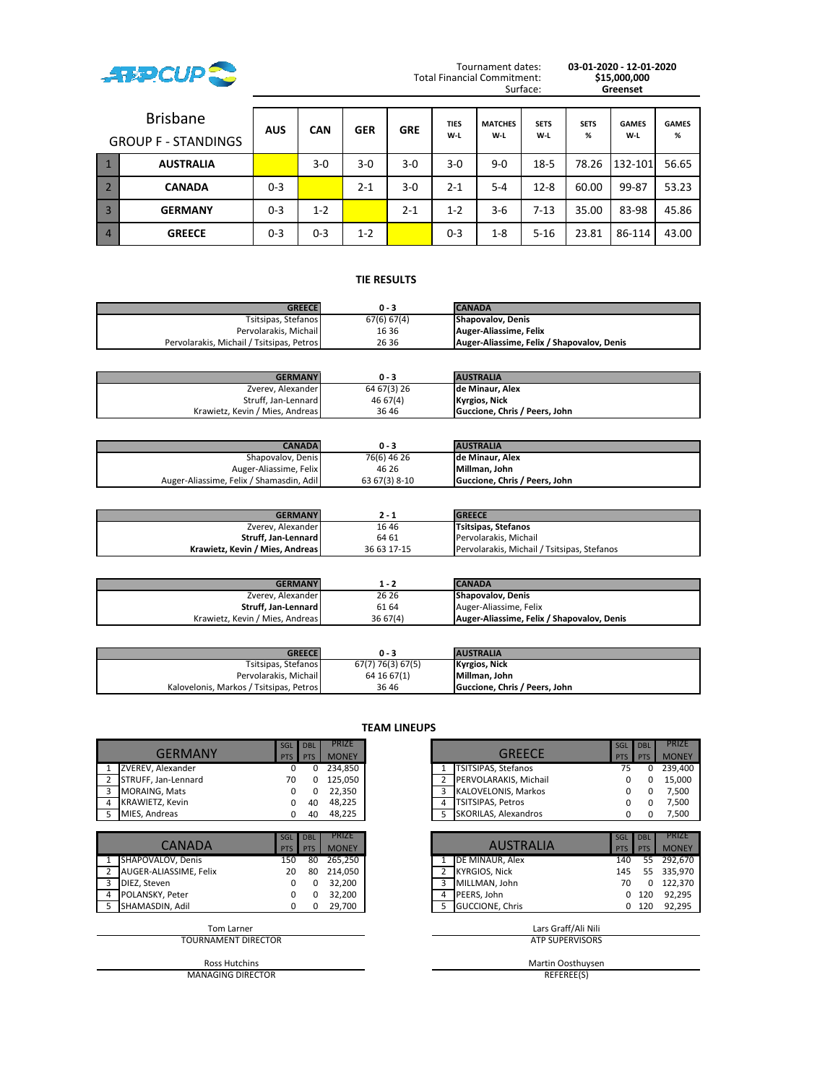

Tournament dates: **03-01-2020 - 12-01-2020** Surface: **Greenset**

|                | <b>Brisbane</b><br><b>GROUP F - STANDINGS</b> | <b>AUS</b> | <b>CAN</b> | <b>GER</b> | <b>GRE</b> | <b>TIES</b><br>$W-L$ | <b>MATCHES</b><br>W-L | <b>SETS</b><br>W-L | <b>SETS</b><br>% | <b>GAMES</b><br>W-L | <b>GAMES</b><br>% |
|----------------|-----------------------------------------------|------------|------------|------------|------------|----------------------|-----------------------|--------------------|------------------|---------------------|-------------------|
|                | <b>AUSTRALIA</b>                              |            | $3-0$      | 3-0        | $3-0$      | $3-0$                | $9 - 0$               | $18 - 5$           | 78.26            | 132-101             | 56.65             |
|                | <b>CANADA</b>                                 | $0 - 3$    |            | $2 - 1$    | $3-0$      | $2 - 1$              | $5 - 4$               | $12 - 8$           | 60.00            | 99-87               | 53.23             |
| $\overline{3}$ | <b>GERMANY</b>                                | $0 - 3$    | $1 - 2$    |            | $2 - 1$    | $1 - 2$              | $3-6$                 | $7 - 13$           | 35.00            | 83-98               | 45.86             |
| $\overline{4}$ | <b>GREECE</b>                                 | $0 - 3$    | $0 - 3$    | $1 - 2$    |            | $0 - 3$              | $1 - 8$               | $5 - 16$           | 23.81            | 86-114              | 43.00             |

# **TIE RESULTS .**

| <b>GREECE</b>                             | 0 - 3       | <b>CANADA</b>                              |
|-------------------------------------------|-------------|--------------------------------------------|
| Tsitsipas, Stefanos                       | 67(6) 67(4) | <b>Shapovalov, Denis</b>                   |
| Pervolarakis, Michail                     | 16 36       | Auger-Aliassime, Felix                     |
| Pervolarakis, Michail / Tsitsipas, Petros | 26 36       | Auger-Aliassime, Felix / Shapovalov, Denis |

| <b>GERMANY</b>                  | 0 - 3       | <b>AUSTRALIA</b>              |
|---------------------------------|-------------|-------------------------------|
| Zverev, Alexander               | 64 67(3) 26 | Ide Minaur. Alex              |
| Struff, Jan-Lennard             | 46 67(4)    | <b>Kyrgios, Nick</b>          |
| Krawietz, Kevin / Mies, Andreas | 3646        | Guccione. Chris / Peers. John |

| CANADAI                                  | $0 - 3$       | <b>AUSTRALIA</b>              |
|------------------------------------------|---------------|-------------------------------|
| Shapovalov, Denis                        | 76(6) 46 26   | de Minaur. Alex               |
| Auger-Aliassime, Felix                   | 46 26         | Millman, John                 |
| Auger-Aliassime, Felix / Shamasdin, Adil | 63 67(3) 8-10 | Guccione, Chris / Peers, John |

| <b>GERMANY</b>                  | 2 - 1       | <b>GREECE</b>                               |
|---------------------------------|-------------|---------------------------------------------|
| Zverev, Alexander               | 1646        | <b>Tsitsipas, Stefanos</b>                  |
| Struff. Jan-Lennard             | 64 61       | Pervolarakis, Michail                       |
| Krawietz, Kevin / Mies, Andreas | 36 63 17-15 | Pervolarakis, Michail / Tsitsipas, Stefanos |

| <b>GERMANY</b>                  | 1 - 2    | <b>CANADA</b>                              |
|---------------------------------|----------|--------------------------------------------|
| Zverev, Alexander               | 26 26    | <b>Shapovalov. Denis</b>                   |
| Struff. Jan-Lennard             | 61 64    | Auger-Aliassime, Felix                     |
| Krawietz, Kevin / Mies, Andreas | 36 67(4) | Auger-Aliassime, Felix / Shapovalov, Denis |

| <b>GREECE</b>                           | 0 - 3             | <b>AUSTRALIA</b>              |
|-----------------------------------------|-------------------|-------------------------------|
| Tsitsipas, Stefanos                     | 67(7) 76(3) 67(5) | <b>Kyrgios, Nick</b>          |
| Pervolarakis, Michail                   | 64 16 67(1)       | Millman, John                 |
| Kalovelonis, Markos / Tsitsipas, Petros | 3646              | Guccione. Chris / Peers. John |

| <b>GERMANY</b>         | SGL<br><b>PTS</b> | <b>DBL</b><br>PTS        | PRIZE<br><b>MONEY</b> | <b>GREECE</b>                           | <b>SGL</b><br><b>PTS</b> | <b>DBL</b><br><b>PTS</b> | <b>PRIZE</b><br><b>MONE</b> |
|------------------------|-------------------|--------------------------|-----------------------|-----------------------------------------|--------------------------|--------------------------|-----------------------------|
| ZVEREV, Alexander      | $\Omega$          | $\Omega$                 | 234,850               | TSITSIPAS, Stefanos                     | 75                       | 0                        | 239,40                      |
| STRUFF, Jan-Lennard    | 70                |                          | 125,050               | PERVOLARAKIS, Michail<br>$\overline{2}$ | 0                        | 0                        | 15,000                      |
| MORAING, Mats<br>3     | <sup>0</sup>      | <sup>o</sup>             | 22,350                | KALOVELONIS, Markos<br>3                | <sup>0</sup>             | 0                        | 7,500                       |
| KRAWIETZ, Kevin<br>4   | 0                 | 40                       | 48,225                | TSITSIPAS, Petros<br>4                  | 0                        | 0                        | 7,500                       |
| MIES, Andreas<br>5     | 0                 | 40                       | 48,225                | SKORILAS, Alexandros<br>5.              | 0                        | 0                        | 7,500                       |
|                        |                   |                          |                       |                                         |                          |                          |                             |
| <b>CANADA</b>          | SGL<br><b>PTS</b> | <b>DBL</b><br><b>PTS</b> | PRIZE<br><b>MONEY</b> | <b>AUSTRALIA</b>                        | <b>SGL</b><br><b>PTS</b> | <b>DBL</b><br><b>PTS</b> | <b>PRIZE</b><br><b>MONE</b> |
| SHAPOVALOV, Denis      | 150               | 80                       | 265,250               | DE MINAUR, Alex                         | 140                      | 55                       | 292,67                      |
| AUGER-ALIASSIME, Felix | 20                | 80                       | 214,050               | <b>KYRGIOS, Nick</b>                    | 145                      | 55                       | 335,97                      |
| 3<br>DIEZ, Steven      | 0                 | 0                        | 32,200                | MILLMAN, John<br>3                      | 70                       |                          | 122,37                      |
| POLANSKY, Peter<br>4   | 0                 | 0                        | 32,200                | PEERS, John<br>4                        | 0                        | 120                      | 92,29                       |
| SHAMASDIN, Adil<br>5   | 0                 | 0                        | 29,700                | <b>GUCCIONE, Chris</b><br>5.            | 0                        | 120                      | 92,29                       |
| <b>Tom Larner</b>      |                   |                          |                       | Lars Graff/Ali Nili                     |                          |                          |                             |
| TOURNAMENT DIRECTOR    |                   |                          |                       | <b>ATP SUPERVISORS</b>                  |                          |                          |                             |
| <b>Ross Hutchins</b>   |                   |                          |                       | Martin Oosthuysen                       |                          |                          |                             |

MANAGING DIRECTOR

**TEAM LINEUPS**

|                     | SGL DBL    |            | <b>PRIZE</b> |   |                            | SGL        | <b>DBL</b> |              |
|---------------------|------------|------------|--------------|---|----------------------------|------------|------------|--------------|
| <b>GFRMANY</b>      | <b>PTS</b> | <b>PTS</b> | <b>MONEY</b> |   | <b>GREECE</b>              | <b>PTS</b> | PTS        | <b>MONEY</b> |
| ZVEREV, Alexander   |            |            | 234.850      |   | <b>TSITSIPAS, Stefanos</b> |            |            | 239.400      |
| STRUFF, Jan-Lennard | 70         |            | 125.050      |   | PERVOLARAKIS, Michail      |            |            | 15.000       |
| MORAING, Mats       |            |            | 22.350       |   | KALOVELONIS, Markos        |            |            |              |
| KRAWIETZ, Kevin     |            | 40         | 48.225       | 4 | <b>TSITSIPAS, Petros</b>   |            |            | 7.500        |
| MIES, Andreas       |            | 40         | 48,225       |   | 5 SKORILAS, Alexandros     |            |            | 7,500        |

|                        | SGL        | <b>DBL</b> | <b>PRIZE</b> |                        | SGL        | <b>DBL</b> |
|------------------------|------------|------------|--------------|------------------------|------------|------------|
| <b>CANADA</b>          | <b>PTS</b> | <b>PTS</b> | <b>MONEY</b> | <b>AUSTRALIA</b>       | <b>PTS</b> | <b>PTS</b> |
| SHAPOVALOV, Denis      | 150        | 80         | 265,250      | DE MINAUR, Alex        | 140        | 55         |
| AUGER-ALIASSIME, Felix | 20         | 80         | 214,050      | KYRGIOS, Nick          | 145        | 55         |
| DIEZ, Steven           |            |            | 32,200       | MILLMAN, John          | 70         |            |
| POLANSKY, Peter        |            |            | 32,200       | PEERS. John<br>4       | 0          | 120        |
| SHAMASDIN. Adil        |            |            | 29,700       | <b>GUCCIONE, Chris</b> |            | 120        |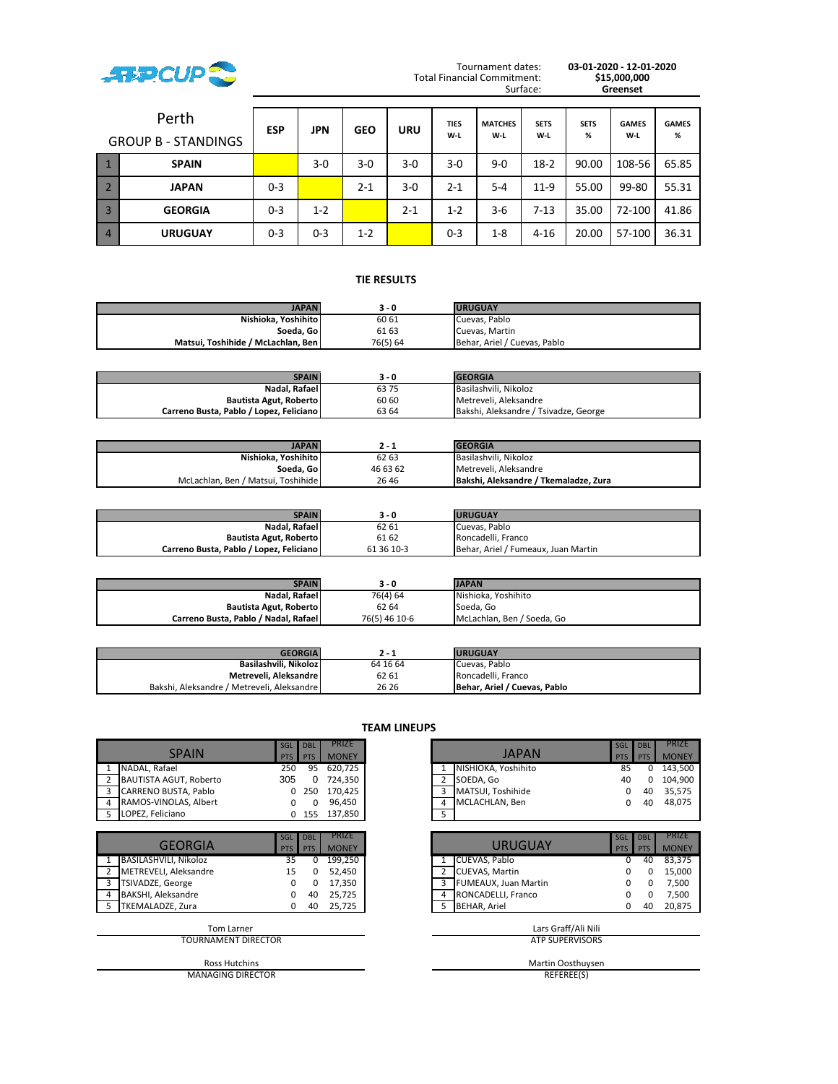

Tournament dates: **03-01-2020 - 12-01-2020** Surface: **Greenset**

|                | Perth<br><b>GROUP B - STANDINGS</b> | <b>ESP</b> | JPN     | <b>GEO</b> | <b>URU</b> | <b>TIES</b><br>W-L | <b>MATCHES</b><br>W-L | <b>SETS</b><br>W-L | <b>SETS</b><br>% | <b>GAMES</b><br>W-L | <b>GAMES</b><br>% |
|----------------|-------------------------------------|------------|---------|------------|------------|--------------------|-----------------------|--------------------|------------------|---------------------|-------------------|
|                | <b>SPAIN</b>                        |            | $3-0$   | $3-0$      | $3-0$      | 3-0                | $9 - 0$               | $18-2$             | 90.00            | 108-56              | 65.85             |
|                | <b>JAPAN</b>                        | $0 - 3$    |         | $2 - 1$    | 3-0        | 2-1                | $5 - 4$               | $11-9$             | 55.00            | 99-80               | 55.31             |
| $\overline{3}$ | <b>GEORGIA</b>                      | $0 - 3$    | $1 - 2$ |            | $2 - 1$    | $1 - 2$            | $3 - 6$               | $7 - 13$           | 35.00            | 72-100              | 41.86             |
| $\overline{4}$ | <b>URUGUAY</b>                      | $0 - 3$    | $0 - 3$ | $1 - 2$    |            | $0 - 3$            | $1 - 8$               | $4 - 16$           | 20.00            | 57-100              | 36.31             |

# **TIE RESULTS .**

| <b>JAPAN</b>                       | 3 - 0    | <b>URUGUAY</b>               |
|------------------------------------|----------|------------------------------|
| Nishioka, Yoshihito                | 60 61    | Cuevas, Pablo                |
| Soeda, Go                          | 61 63    | Cuevas, Martin               |
| Matsui. Toshihide / McLachlan. Ben | 76(5) 64 | Behar, Ariel / Cuevas, Pablo |

| <b>SPAIN</b>                            | 3 - 0 | <b>GEORGIA</b>                        |
|-----------------------------------------|-------|---------------------------------------|
| Nadal, Rafael                           | 6375  | Basilashvili, Nikoloz                 |
| Bautista Agut, Roberto                  | 60 60 | Metreveli, Aleksandre                 |
| Carreno Busta, Pablo / Lopez, Feliciano | 63 64 | Bakshi, Aleksandre / Tsivadze, George |

| <b>JAPAN</b>                       | 2 - 1    | <b>GEORGIA</b>                        |
|------------------------------------|----------|---------------------------------------|
| Nishioka. Yoshihito                | 62 63    | Basilashvili, Nikoloz                 |
| Soeda. Gol                         | 46 63 62 | Metreveli, Aleksandre                 |
| McLachlan, Ben / Matsui, Toshihide | 26 46    | Bakshi, Aleksandre / Tkemaladze, Zura |

| <b>SPAIN</b>                            | 3 - 0      | <b>URUGUAY</b>                      |
|-----------------------------------------|------------|-------------------------------------|
| Nadal, Rafael                           | 62 61      | Cuevas. Pablo                       |
| Bautista Agut, Roberto                  | 61 62      | Roncadelli, Franco                  |
| Carreno Busta, Pablo / Lopez, Feliciano | 61 36 10-3 | Behar, Ariel / Fumeaux, Juan Martin |

| <b>SPAIN</b>                         | 3 - 0         | <b>JAPAN</b>               |
|--------------------------------------|---------------|----------------------------|
| Nadal, Rafael                        | 76(4) 64      | Nishioka, Yoshihito        |
| Bautista Agut, Roberto               | 62 64         | Soeda. Go                  |
| Carreno Busta, Pablo / Nadal, Rafael | 76(5) 46 10-6 | McLachlan, Ben / Soeda, Go |

| <b>GEORGIA</b>                             | 2 - 1    | <b>URUGUAY</b>               |
|--------------------------------------------|----------|------------------------------|
| Basilashvili. Nikolozl                     | 64 16 64 | Cuevas, Pablo                |
| Metreveli, Aleksandre                      | 62 61    | Roncadelli, Franco           |
| Bakshi, Aleksandre / Metreveli, Aleksandre | 26 26    | Behar, Ariel / Cuevas, Pablo |

| <b>TEAM LINEUPS</b>                      |                          |                          |                              |                                         |                   |                          |
|------------------------------------------|--------------------------|--------------------------|------------------------------|-----------------------------------------|-------------------|--------------------------|
| <b>SPAIN</b>                             | <b>SGL</b><br><b>PTS</b> | <b>DBL</b><br><b>PTS</b> | PRIZE<br><b>MONEY</b>        | <b>JAPAN</b>                            | SGL<br><b>PTS</b> | <b>DBL</b><br><b>PTS</b> |
| NADAL, Rafael                            | 250                      | 95                       | 620,725                      | NISHIOKA, Yoshihito                     | 85                | 0                        |
| $\overline{2}$<br>BAUTISTA AGUT, Roberto | 305                      | 0                        | 724,350                      | 2<br>SOEDA, Go                          | 40                | 0                        |
| CARRENO BUSTA, Pablo<br>3                | 0                        | 250                      | 170,425                      | MATSUI, Toshihide<br>3                  | 0                 | 40                       |
| RAMOS-VINOLAS, Albert<br>4               | 0                        | 0                        | 96,450                       | MCLACHLAN, Ben<br>4                     | 0                 | 40                       |
| LOPEZ, Feliciano                         | $\Omega$                 | 155                      | 137,850                      | 5                                       |                   |                          |
|                                          |                          |                          |                              |                                         |                   |                          |
| <b>GEORGIA</b>                           | SGL<br><b>PTS</b>        | <b>DBL</b><br><b>PTS</b> | <b>PRIZE</b><br><b>MONEY</b> | <b>URUGUAY</b>                          | SGL<br><b>PTS</b> | <b>DBL</b><br><b>PTS</b> |
| BASILASHVILI, Nikoloz<br>1               | 35                       | 0                        | 199,250                      | CUEVAS, Pablo                           | 0                 | 40                       |
| METREVELI, Aleksandre<br>$\overline{2}$  | 15                       | ŋ                        | 52,450                       | <b>CUEVAS, Martin</b><br>$\overline{2}$ |                   | 0                        |
| TSIVADZE, George<br>3                    | $\Omega$                 | 0                        | 17,350                       | 3<br>FUMEAUX, Juan Martin               |                   | 0                        |
| BAKSHI, Aleksandre<br>4                  | $\Omega$                 | 40                       | 25,725                       | RONCADELLI, Franco<br>4                 | 0                 | 0                        |
| TKEMALADZE, Zura<br>-5                   | 0                        | 40                       | 25,725                       | <b>BEHAR, Ariel</b><br>5                | 0                 | 40                       |
| Tom Larner                               |                          |                          |                              | Lars Graff/Ali Nili                     |                   |                          |
| <b>TOURNAMENT DIRECTOR</b>               |                          |                          |                              | <b>ATP SUPERVISORS</b>                  |                   |                          |
| <b>Ross Hutchins</b>                     |                          |                          |                              | Martin Oosthuysen                       |                   |                          |
| <b>MANAGING DIRECTOR</b>                 |                          |                          |                              | REFEREE(S)                              |                   |                          |

|                        | SGL        | <b>DBL</b> | <b>PRIZE</b> |   |                     | SGL        | <b>DBL</b> | <b>PRIZE</b> |
|------------------------|------------|------------|--------------|---|---------------------|------------|------------|--------------|
| <b>SPAIN</b>           | <b>PTS</b> | <b>PTS</b> | <b>MONEY</b> |   | <b>JAPAN</b>        | <b>PTS</b> | PTS        | <b>MONEY</b> |
| NADAL. Rafael          | 250        | 95         | 620.725      |   | NISHIOKA, Yoshihito | 85         |            | 143.500      |
| BAUTISTA AGUT, Roberto | 305        |            | 724.350      |   | SOEDA. Go           | 40         |            | 104.900      |
| CARRENO BUSTA, Pablo   |            | 0.250      | 170.425      |   | MATSUI, Toshihide   |            | 40         | 35.575       |
| RAMOS-VINOLAS, Albert  |            |            | 96.450       | 4 | MCLACHLAN, Ben      |            | 40         | 48.075       |
| LOPEZ, Feliciano       |            | 155        | 137.850      |   |                     |            |            |              |

| <b>GEORGIA</b>        | SGL<br><b>PTS</b> | <b>DBL</b><br><b>PTS</b> | <b>PRIZE</b><br><b>MONEY</b> | <b>URUGUAY</b>              | SGL<br><b>PTS</b> | <b>DBL</b><br><b>PTS</b> |
|-----------------------|-------------------|--------------------------|------------------------------|-----------------------------|-------------------|--------------------------|
| BASILASHVILI, Nikoloz | 35                |                          | 199,250                      | CUEVAS, Pablo               |                   | 40                       |
| METREVELI, Aleksandre | 15                |                          | 52,450                       | <b>CUEVAS, Martin</b>       |                   |                          |
| TSIVADZE, George      |                   |                          | 17.350                       | <b>FUMEAUX, Juan Martin</b> |                   |                          |
| BAKSHI, Aleksandre    |                   | 40                       | 25,725                       | RONCADELLI, Franco          |                   |                          |
| TKEMALADZE, Zura      |                   | 40                       | 25.725                       | <b>BEHAR, Ariel</b>         |                   | 40                       |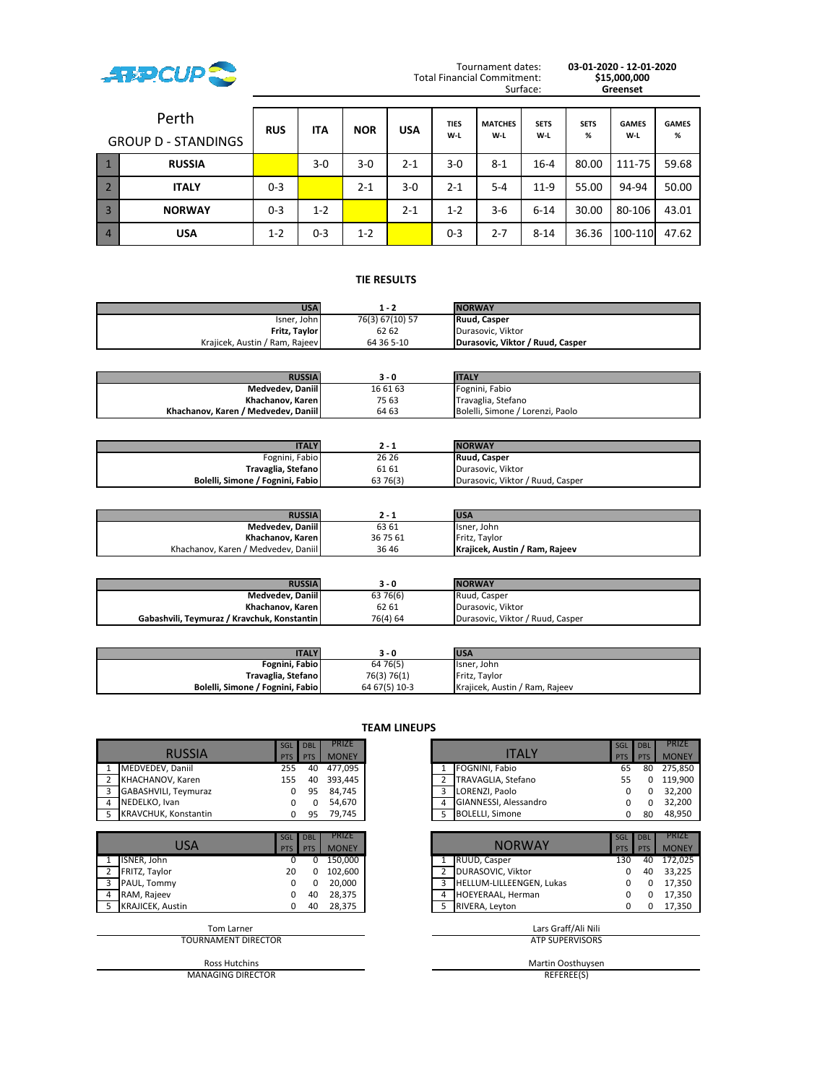

Tournament dates: **03-01-2020 - 12-01-2020** Surface: **Greenset**

|                | Perth<br><b>GROUP D - STANDINGS</b> | <b>RUS</b> | <b>ITA</b> | <b>NOR</b> | <b>USA</b> | <b>TIES</b><br>W-L | <b>MATCHES</b><br>W-L | <b>SETS</b><br>W-L | <b>SETS</b><br>% | <b>GAMES</b><br>W-L | <b>GAMES</b><br>% |
|----------------|-------------------------------------|------------|------------|------------|------------|--------------------|-----------------------|--------------------|------------------|---------------------|-------------------|
|                | <b>RUSSIA</b>                       |            | $3-0$      | $3-0$      | $2 - 1$    | 3-0                | $8 - 1$               | $16 - 4$           | 80.00            | 111-75              | 59.68             |
|                | <b>ITALY</b>                        | $0 - 3$    |            | $2 - 1$    | 3-0        | 2-1                | $5 - 4$               | $11-9$             | 55.00            | 94-94               | 50.00             |
| $\overline{3}$ | <b>NORWAY</b>                       | $0 - 3$    | $1 - 2$    |            | $2 - 1$    | $1 - 2$            | $3 - 6$               | $6 - 14$           | 30.00            | 80-106              | 43.01             |
| $\overline{4}$ | <b>USA</b>                          | $1 - 2$    | $0 - 3$    | $1 - 2$    |            | $0 - 3$            | $2 - 7$               | $8 - 14$           | 36.36            | 100-110             | 47.62             |

# **TIE RESULTS .**

| <b>USA</b>                     | 1 - 2           | <b>NORWAY</b>                    |
|--------------------------------|-----------------|----------------------------------|
| Isner, John                    | 76(3) 67(10) 57 | Ruud. Casper                     |
| Fritz, Taylor                  | 62 62           | Durasovic, Viktor                |
| Krajicek, Austin / Ram, Rajeev | 64 36 5-10      | Durasovic. Viktor / Ruud. Casper |

| <b>RUSSIA</b>                       | 3 - 0    | <b>ITALY</b>                     |
|-------------------------------------|----------|----------------------------------|
| Medvedev, Daniil                    | 16 61 63 | Fognini, Fabio                   |
| Khachanov, Karen I                  | 75 63    | Travaglia, Stefano               |
| Khachanov, Karen / Medvedev, Daniil | 64 63    | Bolelli, Simone / Lorenzi, Paolo |

| <b>ITALY</b>                     |          | <b>NORWAY</b>                    |
|----------------------------------|----------|----------------------------------|
| Fognini, Fabio                   | 26 26    | Ruud, Casper                     |
| Travaglia, Stefano               | 61 61    | Durasovic, Viktor                |
| Bolelli, Simone / Fognini, Fabio | 63 76(3) | Durasovic, Viktor / Ruud, Casper |

| <b>RUSSIA</b>                       |          | <b>USA</b>                     |
|-------------------------------------|----------|--------------------------------|
| Medvedev, Daniil                    | 63 61    | Isner, John                    |
| Khachanov, Karen                    | 36 75 61 | Fritz. Tavlor                  |
| Khachanov, Karen / Medvedev, Daniil | 3646     | Krajicek, Austin / Ram, Rajeev |

| <b>RUSSIA</b>                               | 3 - 0    | <b>NORWAY</b>                    |
|---------------------------------------------|----------|----------------------------------|
| Medvedev, Daniil                            | 63 76(6) | Ruud, Casper                     |
| Khachanov, Karen I                          | 62 61    | Durasovic, Viktor                |
| Gabashvili, Tevmuraz / Kravchuk, Konstantin | 76(4) 64 | Durasovic, Viktor / Ruud, Casper |

| <b>ITALY</b>                     | 3 - 0         | <b>USA</b>                     |
|----------------------------------|---------------|--------------------------------|
| Fognini, Fabio                   | 64 76(5)      | Isner, John                    |
| Travaglia, Stefano               | 76(3) 76(1)   | Fritz. Taylor                  |
| Bolelli, Simone / Fognini, Fabio | 64 67(5) 10-3 | Krajicek, Austin / Ram, Rajeev |

| <b>RUSSIA</b>                   | SGL<br><b>PTS</b> | <b>DBL</b><br><b>PTS</b> | PRIZE<br><b>MONEY</b> |                | <b>ITALY</b>             | SGL<br><b>PTS</b> | <b>DBL</b><br>PTS | <b>PRIZE</b><br><b>MONEY</b> |
|---------------------------------|-------------------|--------------------------|-----------------------|----------------|--------------------------|-------------------|-------------------|------------------------------|
| MEDVEDEV, Daniil                | 255               | 40                       | 477,095               |                | FOGNINI, Fabio           | 65                | 80                | 275,850                      |
| KHACHANOV, Karen                | 155               | 40                       | 393,445               | 2              | TRAVAGLIA, Stefano       | 55                |                   | 119,900                      |
| GABASHVILI, Teymuraz<br>3       | $\Omega$          | 95                       | 84,745                | 3              | LORENZI, Paolo           | <sup>0</sup>      | <sup>0</sup>      | 32,200                       |
| NEDELKO, Ivan<br>4              | 0                 | 0                        | 54,670                |                | GIANNESSI, Alessandro    | 0                 |                   | 32,200                       |
| <b>KRAVCHUK, Konstantin</b>     | 0                 | 95                       | 79,745                | 5              | <b>BOLELLI, Simone</b>   |                   | 80                | 48,950                       |
|                                 |                   |                          |                       |                |                          |                   |                   |                              |
| <b>USA</b>                      | SGL<br><b>PTS</b> | <b>DBL</b><br>PTS        | PRIZE<br><b>MONEY</b> |                | <b>NORWAY</b>            | SGL<br><b>PTS</b> | <b>DBL</b><br>PTS | <b>PRIZE</b><br><b>MONEY</b> |
| ISNER, John                     | <sup>0</sup>      | ŋ                        | 150,000               |                | RUUD, Casper             | 130               | 40                | 172,025                      |
| FRITZ, Taylor<br>$\overline{2}$ | 20                |                          | 102,600               | $\overline{2}$ | DURASOVIC, Viktor        | 0                 | 40                | 33,225                       |
| 3<br>PAUL, Tommy                | 0                 | 0                        | 20,000                | 3              | HELLUM-LILLEENGEN, Lukas | 0                 | 0                 | 17,350                       |
| RAM, Rajeev                     | 0                 | 40                       | 28,375                |                | HOEYERAAL, Herman        | 0                 | 0                 | 17,350                       |
| <b>KRAJICEK, Austin</b>         | 0                 | 40                       | 28,375                | 5              | RIVERA, Leyton           |                   | 0                 | 17,350                       |
| <b>Tom Larner</b>               |                   |                          |                       |                | Lars Graff/Ali Nili      |                   |                   |                              |
| <b>TOURNAMENT DIRECTOR</b>      |                   |                          |                       |                | <b>ATP SUPERVISORS</b>   |                   |                   |                              |
| <b>Ross Hutchins</b>            |                   |                          |                       |                | Martin Oosthuysen        |                   |                   |                              |

MANAGING DIRECTOR

**TEAM LINEUPS**

|                      | SGL DBL    |             | <b>PRIZE</b> |  |                        | SGL DBL    |            | <b>PRIZE</b> |
|----------------------|------------|-------------|--------------|--|------------------------|------------|------------|--------------|
| <b>RUSSIA</b>        | <b>PTS</b> | <b>TPTS</b> | <b>MONEY</b> |  | <b>ITALY</b>           | <b>PTS</b> | <b>PTS</b> | <b>MONEY</b> |
| MEDVEDEV, Daniil     | 255        | 40          | 477.095      |  | FOGNINI, Fabio         | 65         | 80         | 275.850      |
| KHACHANOV, Karen     | 155        | 40          | 393.445      |  | TRAVAGLIA, Stefano     | 55         |            | 119.900      |
| GABASHVILI, Teymuraz |            | 95          | 84,745       |  | LORENZI, Paolo         |            |            | 32,200       |
| NEDELKO, Ivan        |            |             | 54.670       |  | GIANNESSI, Alessandro  |            |            | 32.200       |
| KRAVCHUK, Konstantin |            | 95          | 79,745       |  | <b>BOLELLI, Simone</b> |            | 80         | 48,950       |

|                  | SGL        | <b>DBL</b> | <b>PRIZE</b> |   |                          | $\blacksquare$ SGL $\blacksquare$ | <b>DBL</b> |              |
|------------------|------------|------------|--------------|---|--------------------------|-----------------------------------|------------|--------------|
| USA              | <b>PTS</b> | <b>PTS</b> | <b>MONEY</b> |   | <b>NORWAY</b>            | <b>PTS</b>                        | <b>PTS</b> | <b>MONEY</b> |
| ISNER, John      |            |            | 150,000      |   | RUUD, Casper             | 130                               | 40         | 172,025      |
| FRITZ, Taylor    | 20         |            | 102,600      |   | DURASOVIC, Viktor        |                                   | 40         | 33,225       |
| PAUL, Tommy      |            |            | 20,000       |   | HELLUM-LILLEENGEN, Lukas |                                   |            | 17,350       |
| RAM, Rajeev      |            | 40         | 28,375       | 4 | <b>HOEYERAAL, Herman</b> |                                   |            | 17,350       |
| KRAJICEK, Austin |            | 40         | 28,375       |   | RIVERA, Leyton           |                                   |            | 17,350       |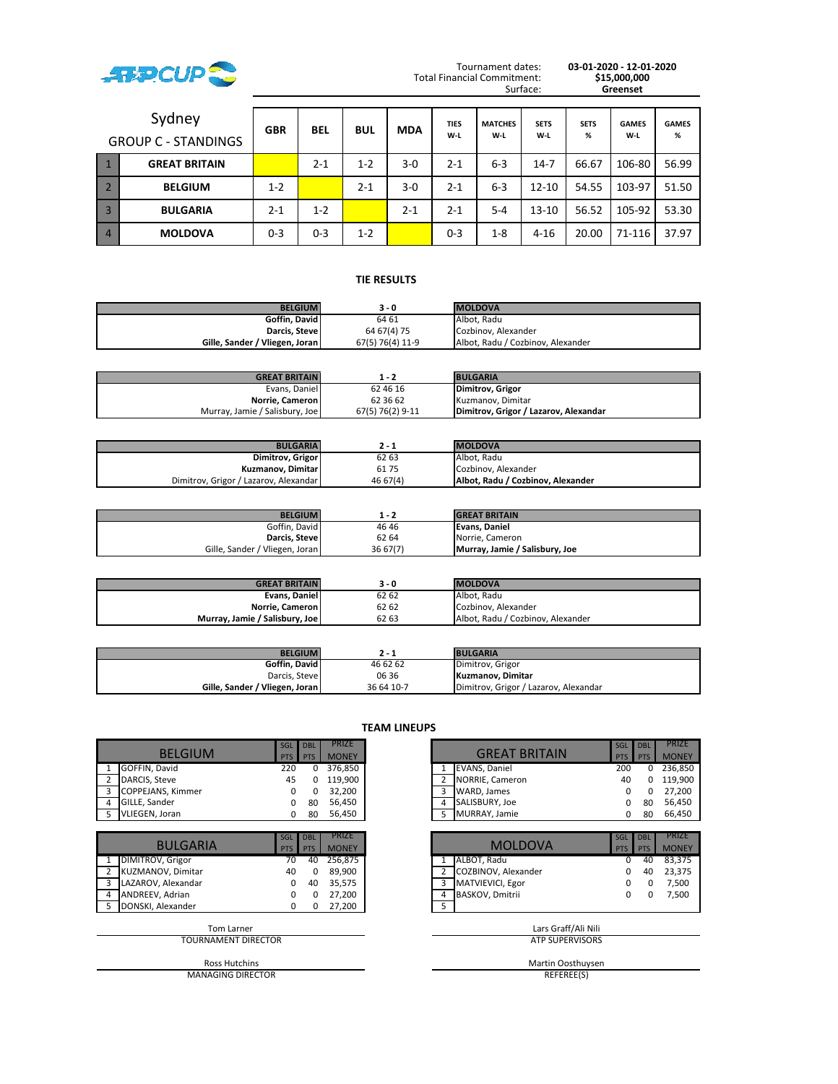

Tournament dates: **03-01-2020 - 12-01-2020** Surface: **Greenset**

|                | Sydney<br><b>GROUP C - STANDINGS</b> | <b>GBR</b> | <b>BEL</b> | <b>BUL</b> | <b>MDA</b> | <b>TIES</b><br>W-L | <b>MATCHES</b><br>$W-L$ | <b>SETS</b><br>$W-L$ | <b>SETS</b><br>% | <b>GAMES</b><br>W-L | <b>GAMES</b><br>% |
|----------------|--------------------------------------|------------|------------|------------|------------|--------------------|-------------------------|----------------------|------------------|---------------------|-------------------|
|                | <b>GREAT BRITAIN</b>                 |            | $2 - 1$    | $1 - 2$    | $3-0$      | $2 - 1$            | $6 - 3$                 | $14-7$               | 66.67            | 106-80              | 56.99             |
|                | <b>BELGIUM</b>                       | $1 - 2$    |            | $2 - 1$    | $3-0$      | $2 - 1$            | $6 - 3$                 | $12 - 10$            | 54.55            | 103-97              | 51.50             |
| $\overline{3}$ | <b>BULGARIA</b>                      | $2 - 1$    | $1 - 2$    |            | $2 - 1$    | $2 - 1$            | $5 - 4$                 | $13 - 10$            | 56.52            | 105-92              | 53.30             |
| $\overline{4}$ | <b>MOLDOVA</b>                       | $0 - 3$    | $0 - 3$    | $1 - 2$    |            | $0 - 3$            | $1 - 8$                 | $4 - 16$             | 20.00            | 71-116              | 37.97             |

## **TIE RESULTS .**

| <b>BELGIUM</b>                 | 3 - 0            | <b>MOLDOVA</b>                    |
|--------------------------------|------------------|-----------------------------------|
| Goffin, David                  | 64 61            | Albot. Radu                       |
| Darcis. Steve I                | 64 67 (4) 75     | Cozbinov. Alexander               |
| Gille, Sander / Vliegen, Joran | 67(5) 76(4) 11-9 | Albot. Radu / Cozbinov. Alexander |

| <b>GREAT BRITAIN</b>           | 1 - 2            | <b>BULGARIA</b>                       |
|--------------------------------|------------------|---------------------------------------|
| Evans, Daniel                  | 62 46 16         | <b>Dimitrov, Grigor</b>               |
| Norrie, Cameron                | 62 36 62         | Kuzmanov, Dimitar                     |
| Murray, Jamie / Salisbury, Joe | 67(5) 76(2) 9-11 | Dimitrov, Grigor / Lazarov, Alexandar |

| <b>BULGARIA</b>                       | 2 - 1    | <b>MOLDOVA</b>                    |
|---------------------------------------|----------|-----------------------------------|
| Dimitrov, Grigor                      | 62 63    | Albot. Radu                       |
| Kuzmanov, Dimitar                     | 6175     | Cozbinov. Alexander               |
| Dimitrov, Grigor / Lazarov, Alexandar | 46 67(4) | Albot, Radu / Cozbinov, Alexander |

| <b>BELGIUM</b>                 | 1 - 2    | <b>GREAT BRITAIN</b>           |
|--------------------------------|----------|--------------------------------|
| Goffin. David                  | 4646     | Evans, Daniel                  |
| Darcis, Stevel                 | 62 64    | Norrie, Cameron                |
| Gille, Sander / Vliegen, Joran | 36 67(7) | Murray, Jamie / Salisbury, Joe |

| <b>GREAT BRITAIN</b>           | 3 - 0 | <b>IMOLDOVA</b>                   |
|--------------------------------|-------|-----------------------------------|
| Evans. Daniel                  | 62 62 | Albot. Radu                       |
| Norrie. Cameron                | 62 62 | Cozbinov. Alexander               |
| Murray, Jamie / Salisbury, Joe | 62 63 | Albot. Radu / Cozbinov. Alexander |

| <b>BELGIUM</b>                 | 2 - 1      | <b>BULGARIA</b>                       |
|--------------------------------|------------|---------------------------------------|
| Goffin, David                  | 46 62 62   | Dimitrov, Grigor                      |
| Darcis, Steve                  | 06 36      | Kuzmanov. Dimitar                     |
| Gille, Sander / Vliegen, Joran | 36 64 10-7 | Dimitrov, Grigor / Lazarov, Alexandar |

| <b>BELGIUM</b>                | SGL<br><b>PTS</b> | <b>DBL</b><br>PTS        | PRIZE<br><b>MONEY</b>        | <b>GREAT BRITAIN</b>        | SGL<br><b>PTS</b> | <b>DBL</b><br>PTS | <b>PRIZE</b><br><b>MONEY</b> |
|-------------------------------|-------------------|--------------------------|------------------------------|-----------------------------|-------------------|-------------------|------------------------------|
| GOFFIN, David                 | 220               | 0                        | 376,850                      | <b>EVANS, Daniel</b>        | 200               | 0                 | 236,850                      |
| DARCIS, Steve                 | 45                | 0                        | 119,900                      | NORRIE, Cameron<br>2        | 40                |                   | 119,900                      |
| <b>COPPEJANS, Kimmer</b><br>3 | $\Omega$          | 0                        | 32,200                       | WARD, James<br>3            | <sup>0</sup>      | 0                 | 27,200                       |
| GILLE, Sander<br>4            | $\Omega$          | 80                       | 56,450                       | SALISBURY, Joe              | 0                 | 80                | 56,450                       |
| VLIEGEN, Joran<br>5           | 0                 | 80                       | 56,450                       | MURRAY, Jamie<br>5          | 0                 | 80                | 66,450                       |
|                               |                   |                          |                              |                             |                   |                   |                              |
| <b>BULGARIA</b>               | SGL<br><b>PTS</b> | <b>DBL</b><br><b>PTS</b> | <b>PRIZE</b><br><b>MONEY</b> | <b>MOLDOVA</b>              | SGL<br><b>PTS</b> | <b>DBL</b><br>PTS | <b>PRIZE</b><br><b>MONEY</b> |
| <b>DIMITROV, Grigor</b>       | 70                | 40                       | 256,875                      | ALBOT, Radu                 | <sup>0</sup>      | 40                | 83,375                       |
| KUZMANOV, Dimitar             | 40                |                          | 89,900                       | COZBINOV, Alexander         |                   | 40                | 23,375                       |
| LAZAROV, Alexandar<br>3       | $\Omega$          | 40                       | 35,575                       | MATVIEVICI, Egor<br>3       | 0                 | 0                 | 7,500                        |
| ANDREEV, Adrian<br>4          | $\Omega$          | 0                        | 27,200                       | <b>BASKOV, Dmitrii</b><br>4 | 0                 | 0                 | 7,500                        |
| DONSKI, Alexander<br>5        | $\Omega$          | 0                        | 27,200                       | 5                           |                   |                   |                              |
| <b>Tom Larner</b>             |                   |                          |                              | Lars Graff/Ali Nili         |                   |                   |                              |
| TOURNAMENT DIRECTOR           |                   |                          |                              | <b>ATP SUPERVISORS</b>      |                   |                   |                              |
| <b>Ross Hutchins</b>          |                   |                          |                              | Martin Oosthuysen           |                   |                   |                              |

MANAGING DIRECTOR

**TEAM LINEUPS**

|                   | SGL DBL    |            | <b>PRIZE</b> |   |                      | SGL        | <b>DBL</b> |              |
|-------------------|------------|------------|--------------|---|----------------------|------------|------------|--------------|
| <b>BELGIUM</b>    | <b>PTS</b> | <b>PTS</b> | <b>MONEY</b> |   | <b>GREAT BRITAIN</b> | <b>PTS</b> | PTS        | <b>MONEY</b> |
| GOFFIN, David     | 220        |            | 376.850      |   | <b>EVANS, Daniel</b> | 200        |            | 236.850      |
| DARCIS. Steve     | 45         |            | 119.900      |   | NORRIE, Cameron      | 40         |            | 119.900      |
| COPPEJANS, Kimmer |            |            | 32,200       |   | WARD, James          |            |            | 27.200       |
| GILLE, Sander     |            | 80         | 56.450       | 4 | SALISBURY, Joe       |            | 80         | 56,450       |
| VLIEGEN, Joran    |            | 80         | 56,450       |   | MURRAY, Jamie        |            | 80         | 66,450       |

|                    | SGL        | <b>DBL</b> | <b>PRIZE</b> |  |                     | SGL        | <b>DBL</b> | <b>PRIZE</b> |
|--------------------|------------|------------|--------------|--|---------------------|------------|------------|--------------|
| <b>BULGARIA</b>    | <b>PTS</b> | <b>PTS</b> | <b>MONEY</b> |  | <b>MOLDOVA</b>      | <b>PTS</b> | <b>PTS</b> | <b>MONEY</b> |
| DIMITROV, Grigor   | 70         | 40         | 256,875      |  | ALBOT. Radu         |            | 40         | 83.375       |
| KUZMANOV, Dimitar  | 40         |            | 89.900       |  | COZBINOV, Alexander |            | 40         | 23,375       |
| LAZAROV, Alexandar |            | 40         | 35,575       |  | MATVIEVICI, Egor    |            |            | 7.500        |
| ANDREEV. Adrian    |            |            | 27.200       |  | BASKOV, Dmitrii     |            |            | 7,500        |
| DONSKI, Alexander  |            |            | 27,200       |  |                     |            |            |              |